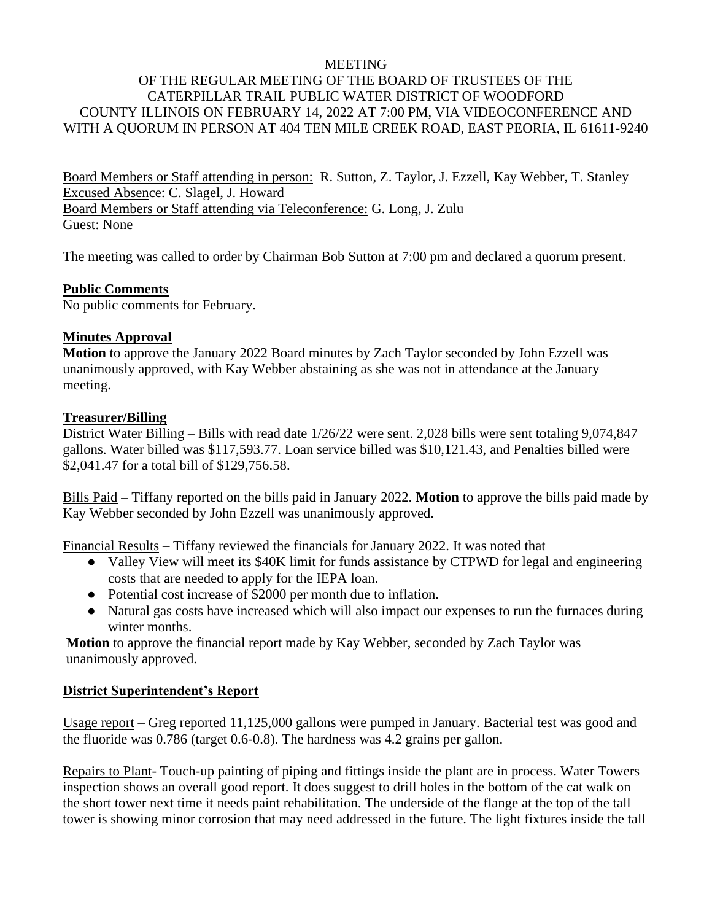#### **MEETING**

# OF THE REGULAR MEETING OF THE BOARD OF TRUSTEES OF THE CATERPILLAR TRAIL PUBLIC WATER DISTRICT OF WOODFORD COUNTY ILLINOIS ON FEBRUARY 14, 2022 AT 7:00 PM, VIA VIDEOCONFERENCE AND WITH A QUORUM IN PERSON AT 404 TEN MILE CREEK ROAD, EAST PEORIA, IL 61611-9240

Board Members or Staff attending in person: R. Sutton, Z. Taylor, J. Ezzell, Kay Webber, T. Stanley Excused Absence: C. Slagel, J. Howard Board Members or Staff attending via Teleconference: G. Long, J. Zulu Guest: None

The meeting was called to order by Chairman Bob Sutton at 7:00 pm and declared a quorum present.

### **Public Comments**

No public comments for February.

### **Minutes Approval**

**Motion** to approve the January 2022 Board minutes by Zach Taylor seconded by John Ezzell was unanimously approved, with Kay Webber abstaining as she was not in attendance at the January meeting.

### **Treasurer/Billing**

District Water Billing – Bills with read date 1/26/22 were sent. 2,028 bills were sent totaling 9,074,847 gallons. Water billed was \$117,593.77. Loan service billed was \$10,121.43, and Penalties billed were \$2,041.47 for a total bill of \$129,756.58.

Bills Paid – Tiffany reported on the bills paid in January 2022. **Motion** to approve the bills paid made by Kay Webber seconded by John Ezzell was unanimously approved.

Financial Results – Tiffany reviewed the financials for January 2022. It was noted that

- Valley View will meet its \$40K limit for funds assistance by CTPWD for legal and engineering costs that are needed to apply for the IEPA loan.
- Potential cost increase of \$2000 per month due to inflation.
- Natural gas costs have increased which will also impact our expenses to run the furnaces during winter months.

**Motion** to approve the financial report made by Kay Webber, seconded by Zach Taylor was unanimously approved.

# **District Superintendent's Report**

Usage report – Greg reported 11,125,000 gallons were pumped in January. Bacterial test was good and the fluoride was 0.786 (target 0.6-0.8). The hardness was 4.2 grains per gallon.

Repairs to Plant- Touch-up painting of piping and fittings inside the plant are in process. Water Towers inspection shows an overall good report. It does suggest to drill holes in the bottom of the cat walk on the short tower next time it needs paint rehabilitation. The underside of the flange at the top of the tall tower is showing minor corrosion that may need addressed in the future. The light fixtures inside the tall